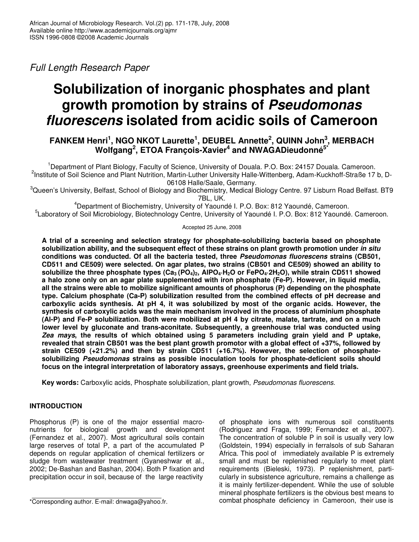*Full Length Research Paper*

# **Solubilization of inorganic phosphates and plant growth promotion by strains of** *Pseudomonas fluorescens* **isolated from acidic soils of Cameroon**

## **FANKEM Henri 1 , NGO NKOT Laurette 1 , DEUBEL Annette 2 , QUINN John 3 , MERBACH Wolfgang 2 , ETOA François-Xavier 4 and NWAGADieudonné 5\***

<sup>1</sup>Department of Plant Biology, Faculty of Science, University of Douala. P.O. Box: 24157 Douala. Cameroon. <sup>2</sup>Institute of Soil Science and Plant Nutrition, Martin-Luther University Halle-Wittenberg, Adam-Kuckhoff-Straße 17 b, D-06108 Halle/Saale, Germany.

<sup>3</sup>Queen's University, Belfast, School of Biology and Biochemistry, Medical Biology Centre. 97 Lisburn Road Belfast. BT9 7BL, UK.

<sup>4</sup>Department of Biochemistry, University of Yaoundé I. P.O. Box: 812 Yaoundé, Cameroon.

5 Laboratory of Soil Microbiology, Biotechnology Centre, University of Yaoundé I. P.O. Box: 812 Yaoundé. Cameroon.

Accepted 25 June, 2008

**A trial of a screening and selection strategy for phosphate-solubilizing bacteria based on phosphate solubilization ability, and the subsequent effect of these strains on plant growth promotion under** *in situ* **conditions was conducted. Of all the bacteria tested, three** *Pseudomonas fluorescens* **strains (CB501, CD511 and CE509) were selected. On agar plates, two strains (CB501 and CE509) showed an ability to** solubilize the three phosphate types  $(Ca_3 (PO_4)_2, AIPO_4 \cdot H_2O)$  or FePO<sub>4</sub>.2H<sub>2</sub>O), while strain CD511 showed **a halo zone only on an agar plate supplemented with iron phosphate (Fe-P). However, in liquid media, all the strains were able to mobilize significant amounts of phosphorus (P) depending on the phosphate type. Calcium phosphate (Ca-P) solubilization resulted from the combined effects of pH decrease and carboxylic acids synthesis. At pH 4, it was solubilized by most of the organic acids. However, the synthesis of carboxylic acids was the main mechanism involved in the process of aluminium phosphate** (Al-P) and Fe-P solubilization. Both were mobilized at pH 4 by citrate, malate, tartrate, and on a much **lower level by gluconate and trans-aconitate. Subsequently, a greenhouse trial was conducted using** *Zea mays***, the results of which obtained using 5 parameters including grain yield and P uptake,** revealed that strain CB501 was the best plant growth promotor with a global effect of +37%, followed by **strain CE509 (+21.2%) and then by strain CD511 (+16.7%). However, the selection of phosphatesolubilizing** *Pseudomonas* **strains as possible inoculation tools for phosphate-deficient soils should focus on the integral interpretation of laboratory assays, greenhouse experiments and field trials.**

**Key words:** Carboxylic acids, Phosphate solubilization, plant growth, *Pseudomonas fluorescens*.

### **INTRODUCTION**

Phosphorus (P) is one of the major essential macronutrients for biological growth and development (Fernandez et al., 2007). Most agricultural soils contain large reserves of total P, a part of the accumulated P depends on regular application of chemical fertilizers or sludge from wastewater treatment (Gyaneshwar et al., 2002; De-Bashan and Bashan, 2004). Both P fixation and precipitation occur in soil, because of the large reactivity

of phosphate ions with numerous soil constituents (Rodriguez and Fraga, 1999; Fernandez et al., 2007). The concentration of soluble P in soil is usually very low (Goldstein, 1994) especially in ferralsols of sub Saharan Africa. This pool of immediately available P is extremely small and must be replenished regularly to meet plant requirements (Bieleski, 1973). P replenishment, particularly in subsistence agriculture, remains a challenge as it is mainly fertilizer-dependent. While the use of soluble mineral phosphate fertilizers is the obvious best means to combat phosphate deficiency in Cameroon, their use is

<sup>\*</sup>Corresponding author. E-mail: dnwaga@yahoo.fr.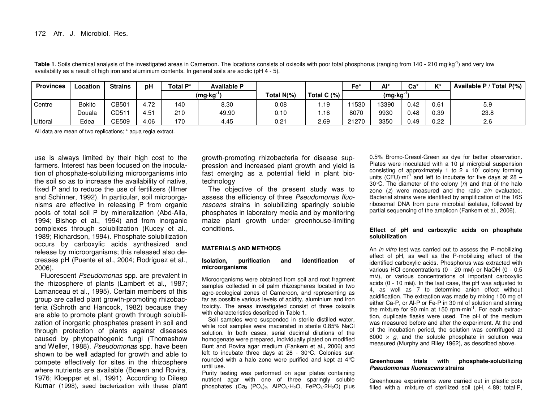| <b>Provinces</b> | Location      | <b>Strains</b> | рH   | Total P*             | <b>Available P</b> |               |               | Fe'    | $Al^*$ | Ca'  | $\boldsymbol{V}$ | Available P / Total P(%) |
|------------------|---------------|----------------|------|----------------------|--------------------|---------------|---------------|--------|--------|------|------------------|--------------------------|
|                  |               |                |      | (mg·kg <sup>-1</sup> |                    | Total $N(\%)$ | Total C $(%)$ | (mg·kg |        |      |                  |                          |
| Centre           | <b>Bokito</b> | CB501          | 4.72 | 140                  | 8.30               | $0.08\,$      | .19           | 1530   | 13390  | 0.42 | 0.61             | 5.9                      |
|                  | Douala        | CD51           | 4.51 | 210                  | 49.90              | 0.10          | .16           | 8070   | 9930   | 0.48 | 0.39             | 23.8                     |
| Littoral         | Edea          | CE509          | 4.06 | 170                  | 4.45               | 0.21          | 2.69          | 21270  | 3350   | 0.49 | 0.22             | 2.6                      |

Table 1. Soils chemical analysis of the investigated areas in Cameroon. The locations consists of oxisoils with poor total phosphorus (ranging from 140 - 210 mg·kg<sup>-1</sup>) and very low availability as <sup>a</sup> result of high iron and aluminium contents. In general soils are acidic (pH 4 - 5).

All data are mean of two replications; \* aqua regia extract.

use is always limited by their high cost to the farmers. Interest has been focused on the inoculation of phosphate-solubilizing microorganisms into the soil so as to increase the availability of native, fixed P and to reduce the use of fertilizers (Illmer and Schinner, 1992). In particular, soil microorganisms are effective in releasing P from organic pools of total soil P by mineralization (Abd-Alla, 1994; Bishop et al., 1994) and from inorganic complexes through solubilization (Kucey et al., 1989; Richardson, 1994). Phosphate solubilization occurs by carboxylic acids synthesized and release by microorganisms; this released also decreases pH (Puente et al., 2004; Rodriguez et al., 2006).

Fluorescent *Pseudomonas* spp. are prevalent in the rhizosphere of plants (Lambert et al., 1987; Lamanceau et al., 1995). Certain members of this group are called plant growth-promoting rhizobacteria (Schroth and Hancock, 1982) because they are able to promote plant growth through solubilization of inorganic phosphates present in soil and through protection of plants against diseases caused by phytopathogenic fungi (Thomashow and Weller, 1988). *Pseudomonas* spp. have been shown to be well adapted for growth and able to compete effectively for sites in the rhizosphere where nutrients are available (Bowen and Rovira, 1976; Kloepper et al., 1991). According to Dileep Kumar (1998), seed bacterization with these plant

growth-promoting rhizobacteria for disease suppression and increased plant growth and yield is fast emerging as <sup>a</sup> potential field in plant biotechnology

The objective of the present study was to assess the efficiency of three *Pseudomonas fluorescens* strains in solubilizing sparingly soluble phosphates in laboratory media and by monitoring maize plant growth under greenhouse-limiting conditions.

#### **MATERIALS AND METHODS**

#### **Isolation, purification and identification of microorganisms**

Microorganisms were obtained from soil and root fragment samples collected in oil palm rhizospheres located in two agro-ecological zones of Cameroon, and representing as far as possible various levels of acidity, aluminium and iron toxicity. The areas investigated consist of three oxisoils with characteristics described in Table 1.

Soil samples were suspended in sterile distilled water, while root samples were macerated in sterile 0.85% NaCl solution. In both cases, serial decimal dilutions of the homogenate were prepared, individually plated on modified Bunt and Rovira agar medium (Fankem et al., 2006) and left to incubate three days at 28 - 30°C. Colonies surrounded with <sup>a</sup> halo zone were purified and kept at 4°C until use.

Purity testing was performed on agar plates containing nutrient agar with one of three sparingly soluble phosphates  $(Ca_3$   $(PO_4)_2$ ,  $AlPO_4·H_2O$ ,  $FePO_4·2H_2O$ ) plus

0.5% Bromo-Cresol-Green as dye for better observation. Plates were inoculated with <sup>a</sup> 10 µl microbial suspension consisting of approximately 1 to 2  $\times$  10<sup>7</sup> colony forming units (CFU) $\cdot$ ml<sup>-1</sup> and left to incubate for five days at 28 – 30°C. The diameter of the colony (*n*) and that of the halo zone (*z*) were measured and the ratio *z/n* evaluated. Bacterial strains were identified by amplification of the 16S ribosomal DNA from pure microbial isolates, followed by partial sequencing of the amplicon (Fankem et al., 2006).

#### **Effect of pH and carboxylic acids on phosphate solubilization**

An *in vitro* test was carried out to assess the P-mobilizing effect of pH, as well as the P-mobilizing effect of the identified carboxylic acids. Phosphorus was extracted with various HCl concentrations (0 - 20 mM) or NaOH (0 - 0.5 mM), or various concentrations of important carboxylic acids (0 - 10 mM). In the last case, the pH was adjusted to 4, as well as 7 to determine anion effect without acidification. The extraction was made by mixing 100 mg of either Ca-P, or Al-P or Fe-P in 30 ml of solution and stirring the mixture for 90 min at 150 rpm·min<sup>-1</sup>. For each extraction, duplicate flasks were used. The pH of the medium was measured before and after the experiment. At the end of the incubation period, the solution was centrifuged at 6000  $\times$   $g$ , and the soluble phosphate in solution was measured (Murphy and Riley 1962), as described above.

#### **Greenhouse trials with phosphate-solubilizing** *Pseudomonas fluorescens* **strains**

Greenhouse experiments were carried out in plastic pots filled with <sup>a</sup> mixture of sterilized soil (pH, 4.89; total P,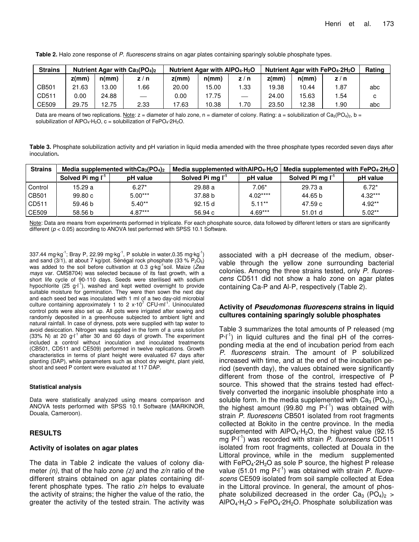| <b>Strains</b> | Nutrient Agar with $Ca_3(PO_4)_2$ |       |      | Nutrient Agar with $AIPO4 \cdot H2O$ |       |      | Nutrient Agar with $FePO4$ -2H <sub>2</sub> O | Rating |      |     |
|----------------|-----------------------------------|-------|------|--------------------------------------|-------|------|-----------------------------------------------|--------|------|-----|
|                | $z$ (mm)                          | n(mm) | z/n  | $z$ (mm)                             | n(mm) | z/n  | $z$ (mm)                                      | n(mm)  | z/n  |     |
| CB501          | 21.63                             | 13.00 | .66  | 20.00                                | 15.00 | 1.33 | 19.38                                         | 10.44  | 1.87 | abc |
| CD511          | 0.00                              | 24.88 |      | 0.00                                 | 17.75 |      | 24.00                                         | 15.63  | 1.54 |     |
| CE509          | 29.75                             | 12.75 | 2.33 | 17.63                                | 10.38 | 70،، | 23.50                                         | 12.38  | .90  | abc |

**Table 2.** Halo zone response of *P. fluorescens* strains on agar plates containing sparingly soluble phosphate types.

Data are means of two replications. Note:  $z =$  diameter of halo zone, n = diameter of colony. Rating: a = solubilization of Ca<sub>3</sub>(PO<sub>4</sub>)<sub>2</sub>, b = solubilization of AlPO<sub>4</sub>·H<sub>2</sub>O, c = solubilization of FePO<sub>4</sub>·2H<sub>2</sub>O.

**Table 3.** Phosphate solubilization activity and pH variation in liquid media amended with the three phosphate types recorded seven days after inoculation**.**

| <b>Strains</b> |                              | Media supplemented with $Ca3(PO4)2$ |                              |           | Media supplemented with AIPO <sub>4</sub> H <sub>2</sub> O   Media supplemented with FePO <sub>4</sub> 2H <sub>2</sub> O |           |  |
|----------------|------------------------------|-------------------------------------|------------------------------|-----------|--------------------------------------------------------------------------------------------------------------------------|-----------|--|
|                | Solved Pi mg I <sup>-1</sup> | pH value                            | Solved Pi mg I <sup>-1</sup> | pH value  | Solved Pi mg I <sup>-1</sup>                                                                                             | pH value  |  |
| Control        | 15.29 a                      | $6.27*$                             | 29.88 a                      | $7.06*$   | 29.73 a                                                                                                                  | $6.72*$   |  |
| CB501          | 99.80c                       | $5.00***$                           | 37.88 b                      | $4.02***$ | 44.65 b                                                                                                                  | $4.32***$ |  |
| CD511          | 59.46 b                      | $5.40**$                            | 92.15d                       | $5.11***$ | 47.59 c                                                                                                                  | $4.92**$  |  |
| CE509          | 58.56 b                      | $4.87***$                           | 56.94 c                      | $4.69***$ | 51.01 d                                                                                                                  | $5.02**$  |  |

Note: Data are means from experiments performed in triplicate. For each phosphate source, data followed by different letters or stars are significantly different ( $p$  < 0.05) according to ANOVA test performed with SPSS 10.1 Software.

337.44 mg·kg<sup>-1</sup>; Bray P, 22.99 mg·kg<sup>-1</sup>, P soluble in water,0.35 mg·kg<sup>-1</sup>) and sand (3/1), at about 7 kg/pot. Sénégal rock phosphate (33 %  $P_2O_5$ ) was added to the soil before cultivation at 0.3 g·kg<sup>-1</sup>soil. Maize (Zea *mays* var. CMS8704) was selected because of its fast growth, with a short life cycle of 90-110 days. Seeds were sterilised with sodium hypochlorite (25 g·l<sup>-1</sup>), washed and kept wetted overnight to provide suitable moisture for germination. They were then sown the next day and each seed bed was inoculated with 1 ml of a two day-old microbial culture containing approximately 1 to 2  $x \cdot 10^7$  CFU $\cdot$ ml<sup>-1</sup>. Uninoculated control pots were also set up. All pots were irrigated after sowing and randomly deposited in a greenhouse subjected to ambient light and natural rainfall. In case of dryness, pots were supplied with tap water to avoid desiccation. Nitrogen was supplied in the form of a urea solution  $(33\% N)$  at 20 g·l<sup>-1</sup> after 30 and 60 days of growth. The experiment included a control without inoculation and inoculated treatments (CB501, CD511 and CE509) performed in twelve replications. Growth characteristics in terms of plant height were evaluated 67 days after planting (DAP), while parameters such as shoot dry weight, plant yield, shoot and seed P content were evaluated at 117 DAP.

#### **Statistical analysis**

Data were statistically analyzed using means comparison and ANOVA tests performed with SPSS 10.1 Software (MARKINOR, Douala, Cameroon).

#### **RESULTS**

#### **Activity of isolates on agar plates**

The data in Table 2 indicate the values of colony diameter *(n)*, that of the halo zone *(z)* and the *z/n* ratio of the different strains obtained on agar plates containing different phosphate types. The ratio *z/n* helps to evaluate the activity of strains; the higher the value of the ratio, the greater the activity of the tested strain. The activity was associated with a pH decrease of the medium, observable through the yellow zone surrounding bacterial colonies. Among the three strains tested, only *P. fluorescens* CD511 did not show a halo zone on agar plates containing Ca-P and Al-P, respectively (Table 2).

#### **Activity of** *Pseudomonas fluorescens* **strains in liquid cultures containing sparingly soluble phosphates**

Table 3 summarizes the total amounts of P released (mg  $P-I<sup>-1</sup>$ ) in liquid cultures and the final pH of the corresponding media at the end of incubation period from each *P. fluorescens* strain. The amount of P solubilized increased with time, and at the end of the incubation period (seventh day), the values obtained were significantly different from those of the control, irrespective of P source. This showed that the strains tested had effecttively converted the inorganic insoluble phosphate into a soluble form. In the media supplemented with  $Ca<sub>3</sub> (PO<sub>4</sub>)<sub>2</sub>$ , the highest amount (99.80 mg  $P-I^{-1}$ ) was obtained with strain *P. fluorescens* CB501 isolated from root fragments collected at Bokito in the centre province. In the media supplemented with  $AIPO<sub>4</sub>·H<sub>2</sub>O$ , the highest value (92.15 mg P·l -1 ) was recorded with strain *P. fluorescens* CD511 isolated from root fragments, collected at Douala in the Littoral province, while in the medium supplemented with FePO<sub>4</sub> $2H_2O$  as sole P source, the highest P release value (51.01 mg P·l<sup>-1</sup>) was obtained with strain *P. fluorescens* CE509 isolated from soil sample collected at Edea in the Littoral province. In general, the amount of phosphate solubilized decreased in the order  $Ca<sub>3</sub>$  (PO<sub>4</sub>)<sub>2</sub> >  $AIPO_4·H_2O > FePO_4·2H_2O$ . Phosphate solubilization was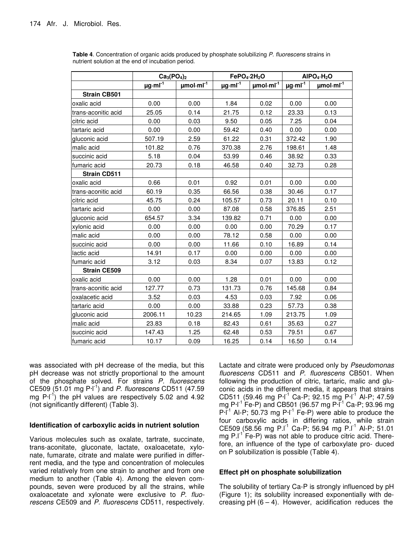|                     | $Ca3(PO4)2$              |                            | FePO <sub>4</sub> 2H <sub>2</sub> O |                            | AIPO <sub>4</sub> ·H <sub>2</sub> O |             |
|---------------------|--------------------------|----------------------------|-------------------------------------|----------------------------|-------------------------------------|-------------|
|                     | $\mu$ g·ml <sup>-1</sup> | $\mu$ mol·ml <sup>-1</sup> | $\mu$ g·ml <sup>-1</sup>            | $\mu$ mol·ml <sup>-1</sup> | $\mu$ g·ml <sup>-1</sup>            | $µmol·ml-1$ |
| <b>Strain CB501</b> |                          |                            |                                     |                            |                                     |             |
| oxalic acid         | 0.00                     | 0.00                       | 1.84                                | 0.02                       | 0.00                                | 0.00        |
| trans-aconitic acid | 25.05                    | 0.14                       | 21.75                               | 0.12                       | 23.33                               | 0.13        |
| citric acid         | 0.00                     | 0.03                       | 9.50                                | 0.05                       | 7.25                                | 0.04        |
| tartaric acid       | 0.00                     | 0.00                       | 59.42                               | 0.40                       | 0.00                                | 0.00        |
| gluconic acid       | 507.19                   | 2.59                       | 61.22                               | 0.31                       | 372.42                              | 1.90        |
| malic acid          | 101.82                   | 0.76                       | 370.38                              | 2.76                       | 198.61                              | 1.48        |
| succinic acid       | 5.18                     | 0.04                       | 53.99                               | 0.46                       | 38.92                               | 0.33        |
| fumaric acid        | 20.73                    | 0.18                       | 46.58                               | 0.40                       | 32.73                               | 0.28        |
| <b>Strain CD511</b> |                          |                            |                                     |                            |                                     |             |
| oxalic acid         | 0.66                     | 0.01                       | 0.92                                | 0.01                       | 0.00                                | 0.00        |
| trans-aconitic acid | 60.19                    | 0.35                       | 66.56                               | 0.38                       | 30.46                               | 0.17        |
| citric acid         | 45.75                    | 0.24                       | 105.57                              | 0.73                       | 20.11                               | 0.10        |
| tartaric acid       | 0.00                     | 0.00                       | 87.08                               | 0.58                       | 376.85                              | 2.51        |
| gluconic acid       | 654.57                   | 3.34                       | 139.82                              | 0.71                       | 0.00                                | 0.00        |
| xylonic acid        | 0.00                     | 0.00                       | 0.00                                | 0.00                       | 70.29                               | 0.17        |
| malic acid          | 0.00                     | 0.00                       | 78.12                               | 0.58                       | 0.00                                | 0.00        |
| succinic acid       | 0.00                     | 0.00                       | 11.66                               | 0.10                       | 16.89                               | 0.14        |
| lactic acid         | 14.91                    | 0.17                       | 0.00                                | 0.00                       | 0.00                                | 0.00        |
| fumaric acid        | 3.12                     | 0.03                       | 8.34                                | 0.07                       | 13.83                               | 0.12        |
| <b>Strain CE509</b> |                          |                            |                                     |                            |                                     |             |
| oxalic acid         | 0.00                     | 0.00                       | 1.28                                | 0.01                       | 0.00                                | 0.00        |
| trans-aconitic acid | 127.77                   | 0.73                       | 131.73                              | 0.76                       | 145.68                              | 0.84        |
| oxalacetic acid     | 3.52                     | 0.03                       | 4.53                                | 0.03                       | 7.92                                | 0.06        |
| tartaric acid       | 0.00                     | 0.00                       | 33.88                               | 0.23                       | 57.73                               | 0.38        |
| gluconic acid       | 2006.11                  | 10.23                      | 214.65                              | 1.09                       | 213.75                              | 1.09        |
| malic acid          | 23.83                    | 0.18                       | 82.43                               | 0.61                       | 35.63                               | 0.27        |
| succinic acid       | 147.43                   | 1.25                       | 62.48                               | 0.53                       | 79.51                               | 0.67        |
| lfumaric acid       | 10.17                    | 0.09                       | 16.25                               | 0.14                       | 16.50                               | 0.14        |

**Table 4**. Concentration of organic acids produced by phosphate solubilizing *P. fluorescens* strains in nutrient solution at the end of incubation period.

was associated with pH decrease of the media, but this pH decrease was not strictly proportional to the amount of the phosphate solved. For strains *P. fluorescens* CE509 (51.01 mg P·l -1 ) and *P. fluorescens* CD511 (47.59 mg  $\text{P-I}^{\text{-1}}$ ) the pH values are respectively 5.02 and 4.92 (not significantly different) (Table 3).

#### **Identification of carboxylic acids in nutrient solution**

Various molecules such as oxalate, tartrate, succinate, trans-aconitate, gluconate, lactate, oxaloacetate, xylonate, fumarate, citrate and malate were purified in differrent media, and the type and concentration of molecules varied relatively from one strain to another and from one medium to another (Table 4). Among the eleven compounds, seven were produced by all the strains, while oxaloacetate and xylonate were exclusive to *P. fluorescens* CE509 and *P. fluorescens* CD511, respectively. Lactate and citrate were produced only by *Pseudomonas fluorescens* CD511 and *P. fluorescens* CB501. When following the production of citric, tartaric, malic and gluconic acids in the different media, it appears that strains CD511 (59.46 mg P·l<sup>-1</sup> Ca-P; 92.15 mg P·l<sup>-1</sup> Al-P; 47.59 mg P·l<sup>-1</sup> Fe-P) and CB501 (96.57 mg P·l<sup>-1</sup> Ca-P; 93.96 mg  $P-I^{-1}$  Al-P; 50.73 mg  $P-I^{-1}$  Fe-P) were able to produce the four carboxylic acids in differing ratios, while strain  $CE509$  (58.56 mg P.I<sup>-1</sup> Ca-P; 56.94 mg P.I<sup>-1</sup> Al-P; 51.01 mg P.I<sup>-1</sup> Fe-P) was not able to produce citric acid. Therefore, an influence of the type of carboxylate pro- duced on P solubilization is possible (Table 4).

#### **Effect pH on phosphate solubilization**

The solubility of tertiary Ca-P is strongly influenced by pH (Figure 1); its solubility increased exponentially with decreasing pH  $(6 - 4)$ . However, acidification reduces the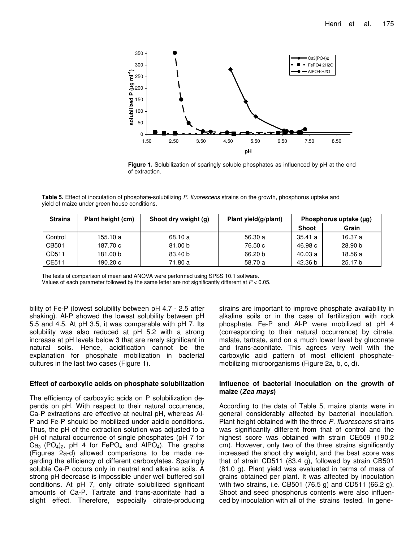

**Figure 1.** Solubilization of sparingly soluble phosphates as influenced by pH at the end of extraction.

**Table 5.** Effect of inoculation of phosphate-solubilizing *P. fluorescens* strains on the growth, phosphorus uptake and yield of maize under green house conditions.

| <b>Strains</b> | Plant height (cm) | Shoot dry weight (g) | Plant yield(g/plant) | Phosphorus uptake (µg) |                    |
|----------------|-------------------|----------------------|----------------------|------------------------|--------------------|
|                |                   |                      |                      | <b>Shoot</b>           | Grain              |
| Control        | 155.10 a          | 68.10 a              | 56.30 a              | 35.41 a                | 16.37 a            |
| CB501          | 187.70 c          | 81.00 b              | 76.50 c              | 46.98 c                | 28.90 <sub>b</sub> |
| CD511          | 181.00 b          | 83.40 b              | 66.20 b              | 40.03 a                | 18.56 a            |
| CE511          | 190.20 с          | 71.80 a              | 58.70 a              | 42.36 b                | 25.17 b            |

The tests of comparison of mean and ANOVA were performed using SPSS 10.1 software.

Values of each parameter followed by the same letter are not significantly different at *P* < 0.05.

bility of Fe-P (lowest solubility between pH 4.7 - 2.5 after shaking). Al-P showed the lowest solubility between pH 5.5 and 4.5. At pH 3.5, it was comparable with pH 7. Its solubility was also reduced at pH 5.2 with a strong increase at pH levels below 3 that are rarely significant in natural soils. Hence, acidification cannot be the explanation for phosphate mobilization in bacterial cultures in the last two cases (Figure 1).

#### **Effect of carboxylic acids on phosphate solubilization**

The efficiency of carboxylic acids on P solubilization depends on pH. With respect to their natural occurrence, Ca-P extractions are effective at neutral pH, whereas Al-P and Fe-P should be mobilized under acidic conditions. Thus, the pH of the extraction solution was adjusted to a pH of natural occurrence of single phosphates (pH 7 for  $Ca<sub>3</sub>$  (PO<sub>4</sub>)<sub>2</sub>, pH 4 for FePO<sub>4</sub> and AlPO<sub>4</sub>). The graphs (Figures 2a-d) allowed comparisons to be made regarding the efficiency of different carboxylates. Sparingly soluble Ca-P occurs only in neutral and alkaline soils. A strong pH decrease is impossible under well buffered soil conditions. At pH 7, only citrate solubilized significant amounts of Ca-P. Tartrate and trans-aconitate had a slight effect. Therefore, especially citrate-producing

strains are important to improve phosphate availability in alkaline soils or in the case of fertilization with rock phosphate. Fe-P and Al-P were mobilized at pH 4 (corresponding to their natural occurrence) by citrate, malate, tartrate, and on a much lower level by gluconate and trans-aconitate. This agrees very well with the carboxylic acid pattern of most efficient phosphatemobilizing microorganisms (Figure 2a, b, c, d).

#### **Influence of bacterial inoculation on the growth of maize (***Zea mays***)**

According to the data of Table 5, maize plants were in general considerably affected by bacterial inoculation. Plant height obtained with the three *P. fluorescens* strains was significantly different from that of control and the highest score was obtained with strain CE509 (190.2 cm). However, only two of the three strains significantly increased the shoot dry weight, and the best score was that of strain CD511 (83.4 g), followed by strain CB501 (81.0 g). Plant yield was evaluated in terms of mass of grains obtained per plant. It was affected by inoculation with two strains, i.e. CB501 (76.5 g) and CD511 (66.2 g). Shoot and seed phosphorus contents were also influenced by inoculation with all of the strains tested. In gene-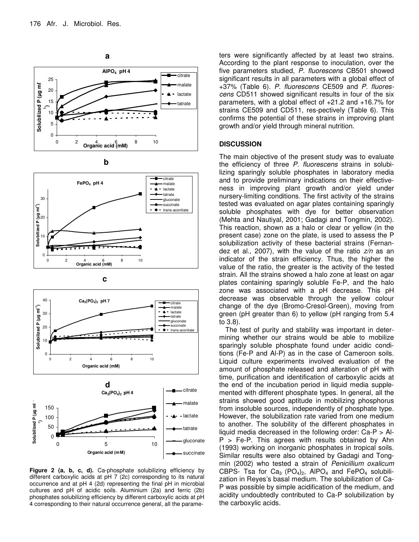









**Figure 2 (a, b, c, d).** Ca-phosphate solubilizing efficiency by different carboxylic acids at pH 7 (2c) corresponding to its natural occurrence and at pH 4 (2d) representing the final pH in microbial cultures and pH of acidic soils. Aluminium (2a) and ferric (2b) phosphates solubilizing efficiency by different carboxylic acids at pH 4 corresponding to their natural occurrence general, all the parame-

ters were significantly affected by at least two strains. According to the plant response to inoculation, over the five parameters studied, *P. fluorescens* CB501 showed significant results in all parameters with a global effect of +37% (Table 6). *P. fluorescens* CE509 and *P. fluorescens* CD511 showed significant results in four of the six parameters, with a global effect of +21.2 and +16.7% for strains CE509 and CD511, res-pectively (Table 6). This confirms the potential of these strains in improving plant growth and/or yield through mineral nutrition.

#### **DISCUSSION**

The main objective of the present study was to evaluate the efficiency of three *P. fluorescens* strains in solubilizing sparingly soluble phosphates in laboratory media and to provide preliminary indications on their effectiveness in improving plant growth and/or yield under nursery-limiting conditions. The first activity of the strains tested was evaluated on agar plates containing sparingly soluble phosphates with dye for better observation (Mehta and Nautiyal, 2001; Gadagi and Tongmin, 2002). This reaction, shown as a halo or clear or yellow (in the present case) zone on the plate, is used to assess the P solubilization activity of these bacterial strains (Fernandez et al., 2007), with the value of the ratio *z/n* as an indicator of the strain efficiency. Thus, the higher the value of the ratio, the greater is the activity of the tested strain. All the strains showed a halo zone at least on agar plates containing sparingly soluble Fe-P, and the halo zone was associated with a pH decrease. This pH decrease was observable through the yellow colour change of the dye (Bromo-Cresol-Green), moving from green (pH greater than 6) to yellow (pH ranging from 5.4 to 3.8).

The test of purity and stability was important in determining whether our strains would be able to mobilize sparingly soluble phosphate found under acidic conditions (Fe-P and Al-P) as in the case of Cameroon soils. Liquid culture experiments involved evaluation of the amount of phosphate released and alteration of pH with time, purification and identification of carboxylic acids at the end of the incubation period in liquid media supplemented with different phosphate types. In general, all the strains showed good aptitude in mobilizing phosphorus from insoluble sources, independently of phosphate type. However, the solubilization rate varied from one medium to another. The solubility of the different phosphates in liquid media decreased in the following order: Ca-P > Al- $P > Fe-P$ . This agrees with results obtained by Ahn (1993) working on inorganic phosphates in tropical soils. Similar results were also obtained by Gadagi and Tongmin (2002) who tested a strain of *Penicillium oxalicum* CBPS- Tsa for  $Ca<sub>3</sub>$  (PO<sub>4</sub>)<sub>2</sub>, AIPO<sub>4</sub> and FePO<sub>4</sub> solubilization in Reyes's basal medium. The solubilization of Ca-P was possible by simple acidification of the medium, and acidity undoubtedly contributed to Ca-P solubilization by the carboxylic acids.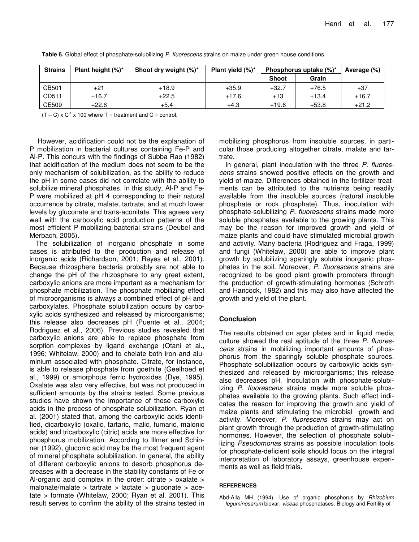| <b>Strains</b> | Plant height $(\%)^*$ | Shoot dry weight (%)* | Plant yield $(\%)^*$ | Phosphorus uptake $(\%)^*$ |         | Average (%) |
|----------------|-----------------------|-----------------------|----------------------|----------------------------|---------|-------------|
|                |                       |                       |                      | <b>Shoot</b>               | Grain   |             |
| CB501          | $+21$                 | $+18.9$               | $+35.9$              | $+32.7$                    | $+76.5$ | $+37$       |
| CD511          | $+16.7$               | $+22.5$               | $+17.6$              | $+13$                      | $+13.4$ | $+16.7$     |
| CE509          | $+22.6$               | $+5.4$                | $+4.3$               | $+19.6$                    | $+53.8$ | $+21.2$     |

**Table 6.** Global effect of phosphate-solubilizing *P. fluorescens* strains on maize under green house conditions.

 $(T - C) \times C^{-1} \times 100$  where T = treatment and C = control.

However, acidification could not be the explanation of P mobilization in bacterial cultures containing Fe-P and Al-P. This concurs with the findings of Subba Rao (1982) that acidification of the medium does not seem to be the only mechanism of solubilization, as the ability to reduce the pH in some cases did not correlate with the ability to solubilize mineral phosphates. In this study, Al-P and Fe-P were mobilized at pH 4 corresponding to their natural occurrence by citrate, malate, tartrate, and at much lower levels by gluconate and trans-aconitate. This agrees very well with the carboxylic acid production patterns of the most efficient P-mobilizing bacterial strains (Deubel and Merbach, 2005).

The solubilization of inorganic phosphate in some cases is attributed to the production and release of inorganic acids (Richardson, 2001; Reyes et al., 2001). Because rhizosphere bacteria probably are not able to change the pH of the rhizosphere to any great extent, carboxylic anions are more important as a mechanism for phosphate mobilization. The phosphate mobilizing effect of microorganisms is always a combined effect of pH and carboxylates. Phosphate solubilization occurs by carboxylic acids synthesized and released by microorganisms; this release also decreases pH (Puente et al., 2004; Rodriguez et al., 2006). Previous studies revealed that carboxylic anions are able to replace phosphate from sorption complexes by ligand exchange (Otani et al., 1996; Whitelaw, 2000) and to chelate both iron and aluminium associated with phosphate. Citrate, for instance, is able to release phosphate from goethite (Geelhoed et al., 1999) or amorphous ferric hydroxides (Dye, 1995). Oxalate was also very effective, but was not produced in sufficient amounts by the strains tested. Some previous studies have shown the importance of these carboxylic acids in the process of phosphate solubilization. Ryan et al. (2001) stated that, among the carboxylic acids identified, dicarboxylic (oxalic, tartaric, malic, fumaric, malonic acids) and tricarboxylic (citric) acids are more effective for phosphorus mobilization. According to Illmer and Schinner (1992), gluconic acid may be the most frequent agent of mineral phosphate solubilization. In general, the ability of different carboxylic anions to desorb phosphorus decreases with a decrease in the stability constants of Fe or Al-organic acid complex in the order: citrate > oxalate > malonate/malate  $>$  tartrate  $>$  lactate  $>$  gluconate  $>$  acetate > formate (Whitelaw, 2000; Ryan et al. 2001). This result serves to confirm the ability of the strains tested in

mobilizing phosphorus from insoluble sources, in particular those producing altogether citrate, malate and tartrate.

In general, plant inoculation with the three *P. fluorescens* strains showed positive effects on the growth and yield of maize. Differences obtained in the fertilizer treatments can be attributed to the nutrients being readily available from the insoluble sources (natural insoluble phosphate or rock phosphate). Thus, inoculation with phosphate-solubilizing *P. fluorescens* strains made more soluble phosphates available to the growing plants. This may be the reason for improved growth and yield of maize plants and could have stimulated microbial growth and activity. Many bacteria (Rodriguez and Fraga, 1999) and fungi (Whitelaw, 2000) are able to improve plant growth by solubilizing sparingly soluble inorganic phosphates in the soil. Moreover, *P. fluorescens* strains are recognized to be good plant growth promoters through the production of growth-stimulating hormones (Schroth and Hancock, 1982) and this may also have affected the growth and yield of the plant.

#### **Conclusion**

The results obtained on agar plates and in liquid media culture showed the real aptitude of the three *P. fluorescens* strains in mobilizing important amounts of phosphorus from the sparingly soluble phosphate sources. Phosphate solubilization occurs by carboxylic acids synthesized and released by microorganisms; this release also decreases pH. Inoculation with phosphate-solubiizing *P. fluorescens* strains made more soluble phosphates available to the growing plants. Such effect indicates the reason for improving the growth and yield of maize plants and stimulating the microbial growth and activity. Moreover, *P. fluorescens* strains may act on plant growth through the production of growth-stimulating hormones. However, the selection of phosphate solubilizing *Pseudomonas* strains as possible inoculation tools for phosphate-deficient soils should focus on the integral interpretation of laboratory assays, greenhouse experiments as well as field trials.

#### **REFERENCES**

Abd-Alla MH (1994). Use of organic phosphorus by *Rhizobium leguminosarum* biovar. *viceae* phosphatases. Biology and Fertility of